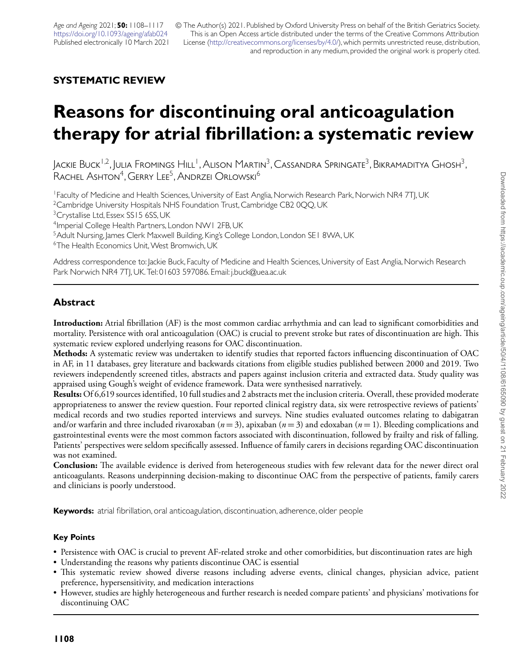© The Author(s) 2021. Published by Oxford University Press on behalf of the British Geriatrics Society. This is an Open Access article distributed under the terms of the Creative Commons Attribution License [\(http://creativecommons.org/licenses/by/4.0/\)](http://creativecommons.org/licenses/by/4.0/), which permits unrestricted reuse, distribution, and reproduction in any medium, provided the original work is properly cited.

# **SYSTEMATIC REVIEW**

# **Reasons for discontinuing oral anticoagulation therapy for atrial fibrillation: a systematic review**

Jackie Buck<sup>1,2</sup>, Julia Fromings Hill<sup>1</sup>, Alison Martin<sup>3</sup>, Cassandra Springate<sup>3</sup>, Bikramaditya Ghosh<sup>3</sup>, RACHEL ASHTON<sup>4</sup>, GERRY LEE<sup>5</sup>, ANDRZEI ORLOWSKI<sup>6</sup>

1Faculty of Medicine and Health Sciences, University of East Anglia, Norwich Research Park, Norwich NR4 7TJ, UK

<sup>2</sup> Cambridge University Hospitals NHS Foundation Trust, Cambridge CB2 0QQ, UK

<sup>3</sup>Crystallise Ltd, Essex SS15 6SS, UK

4Imperial College Health Partners, London NW1 2FB, UK

<sup>5</sup> Adult Nursing, James Clerk Maxwell Building, King's College London, London SE1 8WA, UK

<sup>6</sup>The Health Economics Unit, West Bromwich, UK

Address correspondence to: Jackie Buck, Faculty of Medicine and Health Sciences, University of East Anglia, Norwich Research Park Norwich NR4 7TJ, UK. Tel: 01603 597086. Email: j.buck@uea.ac.uk

# **Abstract**

**Introduction:** Atrial fibrillation (AF) is the most common cardiac arrhythmia and can lead to significant comorbidities and mortality. Persistence with oral anticoagulation (OAC) is crucial to prevent stroke but rates of discontinuation are high. This systematic review explored underlying reasons for OAC discontinuation.

**Methods:** A systematic review was undertaken to identify studies that reported factors influencing discontinuation of OAC in AF, in 11 databases, grey literature and backwards citations from eligible studies published between 2000 and 2019. Two reviewers independently screened titles, abstracts and papers against inclusion criteria and extracted data. Study quality was appraised using Gough's weight of evidence framework. Data were synthesised narratively.

**Results:** Of 6,619 sources identified, 10 full studies and 2 abstracts met the inclusion criteria. Overall, these provided moderate appropriateness to answer the review question. Four reported clinical registry data, six were retrospective reviews of patients' medical records and two studies reported interviews and surveys. Nine studies evaluated outcomes relating to dabigatran and/or warfarin and three included rivaroxaban  $(n=3)$ , apixaban  $(n=3)$  and edoxaban  $(n=1)$ . Bleeding complications and gastrointestinal events were the most common factors associated with discontinuation, followed by frailty and risk of falling. Patients' perspectives were seldom specifically assessed. Influence of family carers in decisions regarding OAC discontinuation was not examined.

**Conclusion:** The available evidence is derived from heterogeneous studies with few relevant data for the newer direct oral anticoagulants. Reasons underpinning decision-making to discontinue OAC from the perspective of patients, family carers and clinicians is poorly understood.

**Keywords:** atrial fibrillation, oral anticoagulation, discontinuation, adherence, older people

## **Key Points**

- Persistence with OAC is crucial to prevent AF-related stroke and other comorbidities, but discontinuation rates are high
- Understanding the reasons why patients discontinue OAC is essential
- This systematic review showed diverse reasons including adverse events, clinical changes, physician advice, patient preference, hypersensitivity, and medication interactions
- However, studies are highly heterogeneous and further research is needed compare patients' and physicians' motivations for discontinuing OAC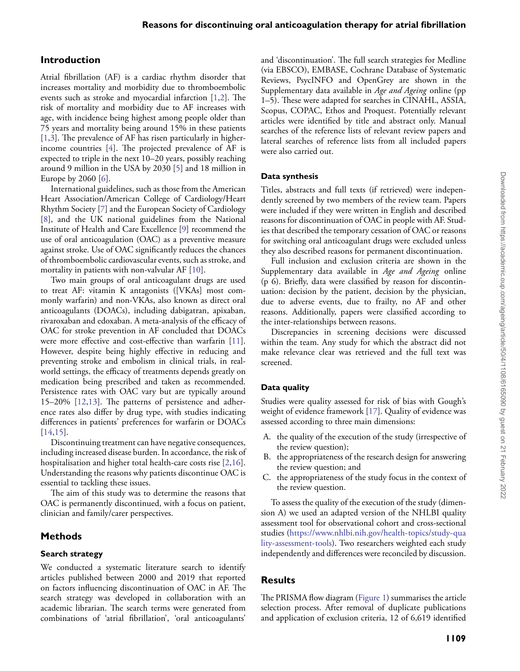### **Introduction**

Atrial fibrillation (AF) is a cardiac rhythm disorder that increases mortality and morbidity due to thromboembolic events such as stroke and myocardial infarction [\[1,](#page-8-0)[2\]](#page-8-1). The risk of mortality and morbidity due to AF increases with age, with incidence being highest among people older than 75 years and mortality being around 15% in these patients [\[1](#page-8-0)[,3\]](#page-8-2). The prevalence of AF has risen particularly in higherincome countries [\[4\]](#page-8-3). The projected prevalence of AF is expected to triple in the next 10–20 years, possibly reaching around 9 million in the USA by 2030 [\[5\]](#page-8-4) and 18 million in Europe by 2060 [\[6\]](#page-8-5).

International guidelines, such as those from the American Heart Association/American College of Cardiology/Heart Rhythm Society [\[7\]](#page-8-6) and the European Society of Cardiology [\[8\]](#page-8-7), and the UK national guidelines from the National Institute of Health and Care Excellence [\[9\]](#page-8-8) recommend the use of oral anticoagulation (OAC) as a preventive measure against stroke. Use of OAC significantly reduces the chances of thromboembolic cardiovascular events, such as stroke, and mortality in patients with non-valvular AF [\[10\]](#page-8-9).

Two main groups of oral anticoagulant drugs are used to treat AF: vitamin K antagonists ([VKAs] most commonly warfarin) and non-VKAs, also known as direct oral anticoagulants (DOACs), including dabigatran, apixaban, rivaroxaban and edoxaban. A meta-analysis of the efficacy of OAC for stroke prevention in AF concluded that DOACs were more effective and cost-effective than warfarin [\[11\]](#page-8-10). However, despite being highly effective in reducing and preventing stroke and embolism in clinical trials, in realworld settings, the efficacy of treatments depends greatly on medication being prescribed and taken as recommended. Persistence rates with OAC vary but are typically around 15–20% [\[12](#page-8-11)[,13\]](#page-8-12). The patterns of persistence and adherence rates also differ by drug type, with studies indicating differences in patients' preferences for warfarin or DOACs [\[14](#page-8-13)[,15\]](#page-9-0).

Discontinuing treatment can have negative consequences, including increased disease burden. In accordance, the risk of hospitalisation and higher total health-care costs rise [\[2](#page-8-1)[,16\]](#page-9-1). Understanding the reasons why patients discontinue OAC is essential to tackling these issues.

The aim of this study was to determine the reasons that OAC is permanently discontinued, with a focus on patient, clinician and family/carer perspectives.

#### **Methods**

#### **Search strategy**

We conducted a systematic literature search to identify articles published between 2000 and 2019 that reported on factors influencing discontinuation of OAC in AF. The search strategy was developed in collaboration with an academic librarian. The search terms were generated from combinations of 'atrial fibrillation', 'oral anticoagulants'

and 'discontinuation'. The full search strategies for Medline (via EBSCO), EMBASE, Cochrane Database of Systematic Reviews, PsycINFO and OpenGrey are shown in the Supplementary data available in *Age and Ageing* online (pp 1–5). These were adapted for searches in CINAHL, ASSIA, Scopus, COPAC, Ethos and Proquest. Potentially relevant articles were identified by title and abstract only. Manual searches of the reference lists of relevant review papers and lateral searches of reference lists from all included papers were also carried out.

#### **Data synthesis**

Titles, abstracts and full texts (if retrieved) were independently screened by two members of the review team. Papers were included if they were written in English and described reasons for discontinuation of OAC in people with AF. Studies that described the temporary cessation of OAC or reasons for switching oral anticoagulant drugs were excluded unless they also described reasons for permanent discontinuation.

Full inclusion and exclusion criteria are shown in the Supplementary data available in *Age and Ageing* online (p 6). Briefly, data were classified by reason for discontinuation: decision by the patient, decision by the physician, due to adverse events, due to frailty, no AF and other reasons. Additionally, papers were classified according to the inter-relationships between reasons.

Discrepancies in screening decisions were discussed within the team. Any study for which the abstract did not make relevance clear was retrieved and the full text was screened.

#### **Data quality**

Studies were quality assessed for risk of bias with Gough's weight of evidence framework [\[17\]](#page-9-2). Quality of evidence was assessed according to three main dimensions:

- A. the quality of the execution of the study (irrespective of the review question);
- B. the appropriateness of the research design for answering the review question; and
- C. the appropriateness of the study focus in the context of the review question.

To assess the quality of the execution of the study (dimension A) we used an adapted version of the NHLBI quality assessment tool for observational cohort and cross-sectional studies [\(https://www.nhlbi.nih.gov/health-topics/study-qua](https://www.nhlbi.nih.gov/health-topics/study-quality-assessment-tools) [lity-assessment-tools\)](https://www.nhlbi.nih.gov/health-topics/study-quality-assessment-tools). Two researchers weighted each study independently and differences were reconciled by discussion.

#### **Results**

The PRISMA flow diagram [\(Figure 1\)](#page-2-0) summarises the article selection process. After removal of duplicate publications and application of exclusion criteria, 12 of 6,619 identified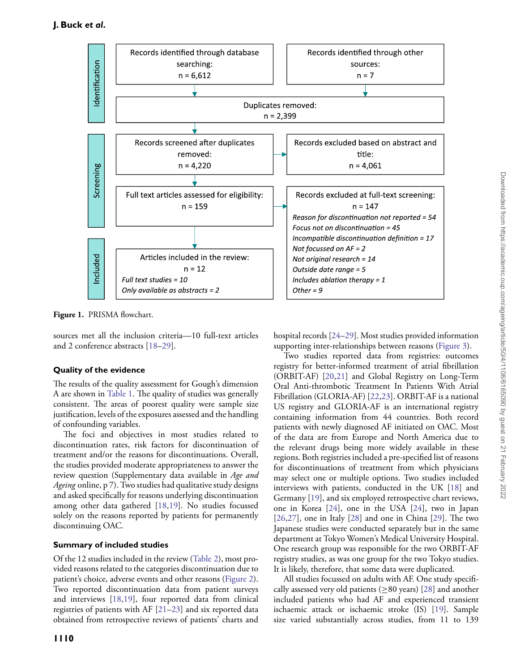

<span id="page-2-0"></span>**Figure 1.** PRISMA flowchart.

sources met all the inclusion criteria—10 full-text articles and 2 conference abstracts [\[18–](#page-9-3)[29\]](#page-9-4).

## **Quality of the evidence**

The results of the quality assessment for Gough's dimension A are shown in [Table 1.](#page-3-0) The quality of studies was generally consistent. The areas of poorest quality were sample size justification, levels of the exposures assessed and the handling of confounding variables.

The foci and objectives in most studies related to discontinuation rates, risk factors for discontinuation of treatment and/or the reasons for discontinuations. Overall, the studies provided moderate appropriateness to answer the review question (Supplementary data available in *Age and Ageing* online, p 7). Two studies had qualitative study designs and asked specifically for reasons underlying discontinuation among other data gathered [\[18](#page-9-3)[,19\]](#page-9-5). No studies focussed solely on the reasons reported by patients for permanently discontinuing OAC.

## **Summary of included studies**

Of the 12 studies included in the review [\(Table 2\)](#page-4-0), most provided reasons related to the categories discontinuation due to patient's choice, adverse events and other reasons [\(Figure 2\)](#page-3-1). Two reported discontinuation data from patient surveys and interviews [\[18,](#page-9-3)[19\]](#page-9-5), four reported data from clinical registries of patients with AF [\[21–](#page-9-6)[23\]](#page-9-7) and six reported data obtained from retrospective reviews of patients' charts and

hospital records [\[24](#page-9-8)[–29\]](#page-9-4). Most studies provided information supporting inter-relationships between reasons [\(Figure 3\)](#page-6-0).

Two studies reported data from registries: outcomes registry for better-informed treatment of atrial fibrillation (ORBIT-AF) [\[20,](#page-9-9)[21\]](#page-9-6) and Global Registry on Long-Term Oral Anti-thrombotic Treatment In Patients With Atrial Fibrillation (GLORIA-AF) [\[22,](#page-9-10)[23\]](#page-9-7). ORBIT-AF is a national US registry and GLORIA-AF is an international registry containing information from 44 countries. Both record patients with newly diagnosed AF initiated on OAC. Most of the data are from Europe and North America due to the relevant drugs being more widely available in these regions. Both registries included a pre-specified list of reasons for discontinuations of treatment from which physicians may select one or multiple options. Two studies included interviews with patients, conducted in the UK [\[18\]](#page-9-3) and Germany [\[19\]](#page-9-5), and six employed retrospective chart reviews, one in Korea [\[24\]](#page-9-8), one in the USA [\[24\]](#page-9-8), two in Japan [\[26,](#page-9-11)[27\]](#page-9-12), one in Italy [\[28\]](#page-9-13) and one in China [\[29\]](#page-9-4). The two Japanese studies were conducted separately but in the same department at Tokyo Women's Medical University Hospital. One research group was responsible for the two ORBIT-AF registry studies, as was one group for the two Tokyo studies. It is likely, therefore, that some data were duplicated.

All studies focussed on adults with AF. One study specifically assessed very old patients ( $\geq 80$  years) [\[28\]](#page-9-13) and another included patients who had AF and experienced transient ischaemic attack or ischaemic stroke (IS) [\[19\]](#page-9-5). Sample size varied substantially across studies, from 11 to 139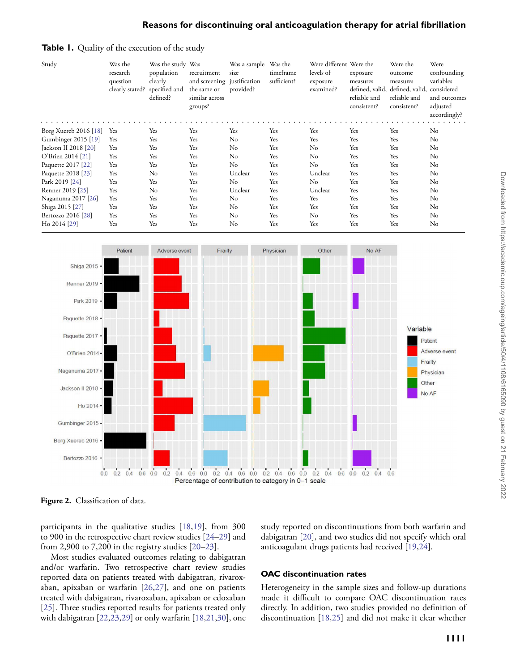#### **Reasons for discontinuing oral anticoagulation therapy for atrial fibrillation**



<span id="page-3-0"></span>**Table 1.** Quality of the execution of the study

<span id="page-3-1"></span>**Figure 2.** Classification of data.

 $0.0$ 

Bertozzo 2016

participants in the qualitative studies [\[18](#page-9-3)[,19\]](#page-9-5), from 300 to 900 in the retrospective chart review studies [\[24–](#page-9-8)[29\]](#page-9-4) and from 2,900 to 7,200 in the registry studies  $[20-23]$  $[20-23]$ .

 $0.2$  0.4 0.6 0.0 0.2

study reported on discontinuations from both warfarin and dabigatran [\[20\]](#page-9-9), and two studies did not specify which oral anticoagulant drugs patients had received [\[19,](#page-9-5)[24\]](#page-9-8).

 $0.6$ 

Most studies evaluated outcomes relating to dabigatran and/or warfarin. Two retrospective chart review studies reported data on patients treated with dabigatran, rivaroxaban, apixaban or warfarin [\[26,](#page-9-11)[27\]](#page-9-12), and one on patients treated with dabigatran, rivaroxaban, apixaban or edoxaban [\[25\]](#page-9-14). Three studies reported results for patients treated only with dabigatran [\[22](#page-9-10)[,23,](#page-9-7)[29\]](#page-9-4) or only warfarin [\[18,](#page-9-3)[21](#page-9-6)[,30\]](#page-9-15), one

#### **OAC discontinuation rates**

 $0.4\quad 0.6\quad 0.0\quad 0.2\quad 0.4\quad 0.6\quad 0.0\quad 0.2\quad 0.4\quad 0.6\quad 0.0\quad 0.2\quad 0.4\quad 0.6\quad 0.0\quad 0.2\quad 0.4$ 

Percentage of contribution to category in 0-1 scale

Heterogeneity in the sample sizes and follow-up durations made it difficult to compare OAC discontinuation rates directly. In addition, two studies provided no definition of discontinuation [\[18](#page-9-3)[,25\]](#page-9-14) and did not make it clear whether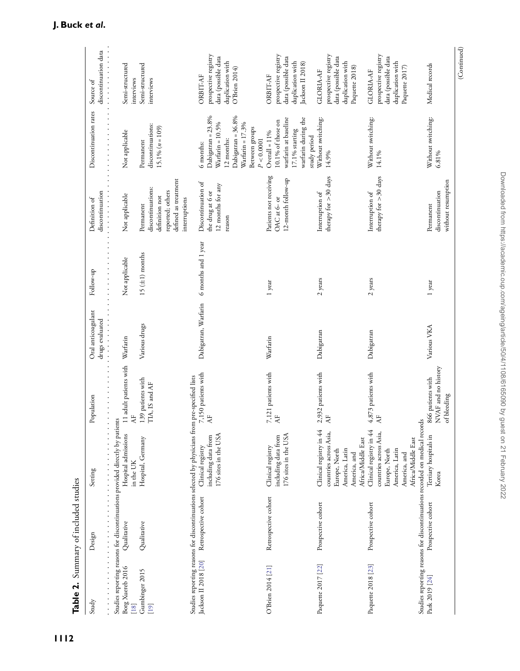<span id="page-4-0"></span>

| Study                      | Design               | Setting                                                                                                                                                            | <b>Population</b>                                                                       | Oral anticoagulant<br>drugs evaluated                                                                                     | Follow-up                                                                                                                                                                                                                                                                                                                           | discontinuation<br>Definition of                                                                              | Discontinuation rates                                                                                                         | discontinuation data<br>Source of                                                                      |
|----------------------------|----------------------|--------------------------------------------------------------------------------------------------------------------------------------------------------------------|-----------------------------------------------------------------------------------------|---------------------------------------------------------------------------------------------------------------------------|-------------------------------------------------------------------------------------------------------------------------------------------------------------------------------------------------------------------------------------------------------------------------------------------------------------------------------------|---------------------------------------------------------------------------------------------------------------|-------------------------------------------------------------------------------------------------------------------------------|--------------------------------------------------------------------------------------------------------|
| Borg Xuereb 2016<br>$[18]$ | Qualitative          | Studies reporting reasons for discontinuations provided directly by patients<br>Hospital admissions<br>in the UK                                                   | 11 adult patients with<br>$\ddot{\cdot}$ $\ddot{\cdot}$ $\ddot{\cdot}$<br>$\frac{1}{2}$ | $\frac{1}{2}$ , $\frac{1}{2}$ , $\frac{1}{2}$ , $\frac{1}{2}$ , $\frac{1}{2}$ , $\frac{1}{2}$ , $\frac{1}{2}$<br>Warfarin | Not applicable<br>$\ddot{ }$ $\ddot{ }$ $\ddot{ }$ $\ddot{ }$ $\ddot{ }$ $\ddot{ }$ $\ddot{ }$ $\ddot{ }$ $\ddot{ }$ $\ddot{ }$ $\ddot{ }$ $\ddot{ }$ $\ddot{ }$ $\ddot{ }$ $\ddot{ }$ $\ddot{ }$ $\ddot{ }$ $\ddot{ }$ $\ddot{ }$ $\ddot{ }$ $\ddot{ }$ $\ddot{ }$ $\ddot{ }$ $\ddot{ }$ $\ddot{ }$ $\ddot{ }$ $\ddot{ }$ $\ddot{$ | .<br>Not applicable                                                                                           | Not applicable                                                                                                                | .<br>Semi-structured<br>interviews                                                                     |
| Gumbinger 2015<br>$[19]$   | Qualitative          | Hospital, Germany                                                                                                                                                  | .39 patients with<br>TIA, IS and AF                                                     | Various drugs                                                                                                             | 15 $(\pm 1)$ months                                                                                                                                                                                                                                                                                                                 | defined as treatment<br>discontinuations:<br>reported; others<br>definition not<br>interruptions<br>Permanent | discontinuations:<br>$15.1\% (n = 109)$<br>Permanent                                                                          | Semi-structured<br>interviews                                                                          |
| Jackson II 2018 [20]       | Retrospective cohort | Studies reporting reasons for discontinuations selected by physicians from pre-specified lists<br>176 sites in the USA<br>including data from<br>Clinical registry | 7,150 patients with<br>$\mathsf{A}\mathsf{F}$                                           | Dabigatran, Warfarin                                                                                                      | 6 months and 1 year                                                                                                                                                                                                                                                                                                                 | Discontinuation of<br>12 months for any<br>the drug at 6 or<br>reason                                         | Dabigatran = 23.8%<br>Dabigatran = 36.8%<br>Warfarin = 10.5%<br>Warfarin = 17.3%<br>Between groups<br>12 months:<br>6 months: | prospective registry<br>data (possible data<br>duplication with<br>O'Brien 2014)<br><b>ORBIT-AF</b>    |
| O'Brien 2014 [21]          | Retrospective cohort | 176 sites in the USA<br>including data from<br>Clinical registry                                                                                                   | 7,121 patients with<br>AF                                                               | Warfarin                                                                                                                  | 1 year                                                                                                                                                                                                                                                                                                                              | Patients not receiving<br>12-month follow-up<br>OAC at 6- or                                                  | warfarin during the<br>warfarin at baseline<br>10.1% of those on<br>$17.1%$ starting<br>$Overall = 11%$<br>P < 0.0001         | prospective registry<br>data (possible data<br>duplication with<br>Jackson II 2018)<br><b>ORBIT-AF</b> |
| Paquette 2017 [22]         | Prospective cohort   | Clinical registry in 44<br>countries across Asia,<br>Europe, North<br>America, Latin<br>America, and                                                               | 2,932 patients with<br>AF                                                               | Dabigatran                                                                                                                | $2$ years                                                                                                                                                                                                                                                                                                                           | therapy for >30 days<br>Interruption of                                                                       | Without switching:<br>study period<br>14.9%                                                                                   | prospective registry<br>data (possible data<br>duplication with<br>Paquette 2018)<br><b>GLORIA-AF</b>  |
| Paquette 2018 [23]         | Prospective cohort   | Clinical registry in 44<br>countries across Asia,<br>Africa/Middle East<br>Africa/Middle East<br>America, Latin<br>Europe, North<br>America, and                   | 4,873 patients with<br>$\overline{r}$                                                   | Dabigatran                                                                                                                | 2 years                                                                                                                                                                                                                                                                                                                             | therapy for >30 days<br>Interruption of                                                                       | Without switching:<br>14.1%                                                                                                   | prospective registry<br>data (possible data<br>duplication with<br>Paquette 2017)<br>GLORIA-AF         |
| Park 2019 [24]             | Prospective cohort   | Studies reporting reasons for discontinuations recorded on medical records<br>Tertiary hospitals in<br>Korea                                                       | NVAF and no history<br>866 patients with<br>of bleeding                                 | Various VKA                                                                                                               | 1 year                                                                                                                                                                                                                                                                                                                              | without resumption<br>discontinuation<br>Permanent                                                            | Without switching:<br>6.81%                                                                                                   | Medical records                                                                                        |
|                            |                      |                                                                                                                                                                    |                                                                                         |                                                                                                                           |                                                                                                                                                                                                                                                                                                                                     |                                                                                                               |                                                                                                                               | (Continued)                                                                                            |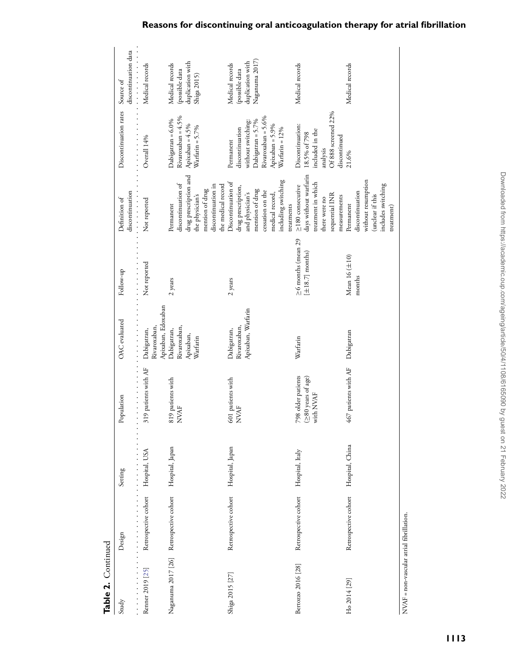| Table 2. Continued                      |                                         |                                                                                                                                                                                                                                                                                                                     |                                                                 |                                                                                                                                                    |                                                                                                            |                                                                                                                                                                                                                                                                                                                                                         |                                                                                                                                    |                                                                         |
|-----------------------------------------|-----------------------------------------|---------------------------------------------------------------------------------------------------------------------------------------------------------------------------------------------------------------------------------------------------------------------------------------------------------------------|-----------------------------------------------------------------|----------------------------------------------------------------------------------------------------------------------------------------------------|------------------------------------------------------------------------------------------------------------|---------------------------------------------------------------------------------------------------------------------------------------------------------------------------------------------------------------------------------------------------------------------------------------------------------------------------------------------------------|------------------------------------------------------------------------------------------------------------------------------------|-------------------------------------------------------------------------|
| Study                                   | Design                                  | Setting                                                                                                                                                                                                                                                                                                             | .<br>Population                                                 | <b>OAC</b> evaluated                                                                                                                               | $\frac{1}{2}$ , $\frac{1}{2}$ , $\frac{1}{2}$ , $\frac{1}{2}$ , $\frac{1}{2}$ , $\frac{1}{2}$<br>Follow-up | discontinuation<br>$\frac{1}{2}$ $\frac{1}{2}$ $\frac{1}{2}$ $\frac{1}{2}$ $\frac{1}{2}$ $\frac{1}{2}$ $\frac{1}{2}$ $\frac{1}{2}$ $\frac{1}{2}$ $\frac{1}{2}$ $\frac{1}{2}$ $\frac{1}{2}$ $\frac{1}{2}$ $\frac{1}{2}$ $\frac{1}{2}$ $\frac{1}{2}$ $\frac{1}{2}$ $\frac{1}{2}$ $\frac{1}{2}$ $\frac{1}{2}$ $\frac{1}{2}$ $\frac{1}{2}$<br>Definition of | Discontinuation rates                                                                                                              | .<br>discontinuation data<br>Source of                                  |
| Renner 2019 [25]                        | Retrospective cohort Hospital, USA<br>. | $\frac{1}{2}$ $\frac{1}{2}$ $\frac{1}{2}$ $\frac{1}{2}$ $\frac{1}{2}$ $\frac{1}{2}$ $\frac{1}{2}$ $\frac{1}{2}$ $\frac{1}{2}$ $\frac{1}{2}$ $\frac{1}{2}$ $\frac{1}{2}$ $\frac{1}{2}$ $\frac{1}{2}$ $\frac{1}{2}$ $\frac{1}{2}$ $\frac{1}{2}$ $\frac{1}{2}$ $\frac{1}{2}$ $\frac{1}{2}$ $\frac{1}{2}$ $\frac{1}{2}$ | 319 patients with AF                                            | Apixaban, Edoxaban<br>$\frac{1}{2}$ , $\frac{1}{2}$ , $\frac{1}{2}$ , $\frac{1}{2}$ , $\frac{1}{2}$ , $\frac{1}{2}$<br>Rivaroxaban,<br>Dabigatran, | Not reported                                                                                               | Not reported                                                                                                                                                                                                                                                                                                                                            | Overall 14%                                                                                                                        | Medical records                                                         |
| Naganuma 2017 [26] Retrospective cohort |                                         | Hospital, Japan                                                                                                                                                                                                                                                                                                     | 819 patients with<br><b>NVAF</b>                                | Rivaroxaban,<br>Dabigatran,<br>Apixaban,<br>Warfarin                                                                                               | 2 years                                                                                                    | drug prescription and<br>discontinuation of<br>discontinuation in<br>the medical record<br>mention of drug<br>the physician's<br>Permanent                                                                                                                                                                                                              | Rivaroxaban = $4.5\%$<br>Dabigatran = 6.0%<br>Apixaban = $4.5\%$<br>Warfarin = 5.7%                                                | duplication with<br>Medical records<br>(possible data<br>Shiga 2015)    |
| Shiga 2015 [27]                         | Retrospective cohort                    | Hospital, Japan                                                                                                                                                                                                                                                                                                     | 601 patients with<br><b>NVAF</b>                                | Apixaban, Warfarin<br>Rivaroxaban,<br>Dabigatran,                                                                                                  | 2 years                                                                                                    | including switching<br>Discontinuation of<br>drug prescription,<br>mention of drug<br>cessation on the<br>medical record,<br>and physician's<br>treatments                                                                                                                                                                                              | Rivaroxaban = 5.6%<br>Dabigatran = 5.7%<br>without switching:<br>Apixaban = 5.9%<br>discontinuation<br>Warfarin = 12%<br>Permanent | Naganuma 2017)<br>duplication with<br>Medical records<br>(possible data |
| Bertozzo 2016 <sup>[28]</sup>           | Retrospective cohort                    | Hospital, Italy                                                                                                                                                                                                                                                                                                     | 798 older patients<br>$(280 \text{ years of age})$<br>with NVAF | Warfarin                                                                                                                                           | $\geq$ 6 months (mean 29<br>$[\pm 18.7]$ months)                                                           | days without warfarin<br>treatment in which<br>$\geq$ 180 consecutive<br>sequential INR<br>measurements<br>there were no                                                                                                                                                                                                                                | Of 888 screened 22%<br>Discontinuation:<br>included in the<br>18.5% of 798<br>discontinued<br>analysis                             | Medical records                                                         |
| Ho 2014 [29]                            | Retrospective cohort                    | Hospital, China                                                                                                                                                                                                                                                                                                     | 467 patients with AF                                            | Dabigatran                                                                                                                                         | Mean 16 $(\pm 10)$<br>months                                                                               | without resumption<br>includes switching<br>discontinuation<br>(unclear if this<br>Permanent<br>treatment)                                                                                                                                                                                                                                              | 21.6%                                                                                                                              | Medical records                                                         |

 $\overline{a}$ 

 $\label{eq:1} \text{NVAF} = \text{non-vascular atrial fibrillation}\,.$ NVAF = non-vascular atrial fibrillation.

# **Reasons for discontinuing oral anticoagulation therapy for atrial fibrillation**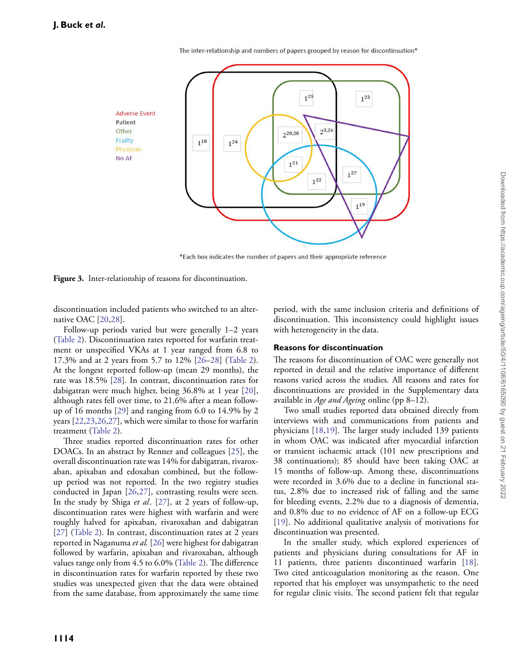The inter-relationship and numbers of papers grouped by reason for discontinuation\*



\*Each box indicates the number of papers and their appropriate reference

<span id="page-6-0"></span>**Figure 3.** Inter-relationship of reasons for discontinuation.

discontinuation included patients who switched to an alternative OAC [\[20,](#page-9-9)[28\]](#page-9-13).

Follow-up periods varied but were generally 1–2 years [\(Table 2\)](#page-4-0). Discontinuation rates reported for warfarin treatment or unspecified VKAs at 1 year ranged from 6.8 to 17.3% and at 2 years from 5.7 to 12% [\[26–](#page-9-11)[28\]](#page-9-13) [\(Table 2\)](#page-4-0). At the longest reported follow-up (mean 29 months), the rate was 18.5% [\[28\]](#page-9-13). In contrast, discontinuation rates for dabigatran were much higher, being 36.8% at 1 year [\[20\]](#page-9-9), although rates fell over time, to 21.6% after a mean followup of 16 months [\[29\]](#page-9-4) and ranging from 6.0 to 14.9% by 2 years [\[22,](#page-9-10)[23](#page-9-7)[,26](#page-9-11)[,27\]](#page-9-12), which were similar to those for warfarin treatment [\(Table 2\)](#page-4-0).

Three studies reported discontinuation rates for other DOACs. In an abstract by Renner and colleagues [\[25\]](#page-9-14), the overall discontinuation rate was 14% for dabigatran, rivaroxaban, apixaban and edoxaban combined, but the followup period was not reported. In the two registry studies conducted in Japan [\[26,](#page-9-11)[27\]](#page-9-12), contrasting results were seen. In the study by Shiga *et al*. [\[27\]](#page-9-12), at 2 years of follow-up, discontinuation rates were highest with warfarin and were roughly halved for apixaban, rivaroxaban and dabigatran [\[27\]](#page-9-12) [\(Table 2\)](#page-4-0). In contrast, discontinuation rates at 2 years reported in Naganuma *et al.* [\[26\]](#page-9-11) were highest for dabigatran followed by warfarin, apixaban and rivaroxaban, although values range only from 4.5 to 6.0% [\(Table 2\)](#page-4-0). The difference in discontinuation rates for warfarin reported by these two studies was unexpected given that the data were obtained from the same database, from approximately the same time

period, with the same inclusion criteria and definitions of discontinuation. This inconsistency could highlight issues with heterogeneity in the data.

#### **Reasons for discontinuation**

The reasons for discontinuation of OAC were generally not reported in detail and the relative importance of different reasons varied across the studies. All reasons and rates for discontinuations are provided in the Supplementary data available in *Age and Ageing* online (pp 8–12).

Two small studies reported data obtained directly from interviews with and communications from patients and physicians [\[18,](#page-9-3)[19\]](#page-9-5). The larger study included 139 patients in whom OAC was indicated after myocardial infarction or transient ischaemic attack (101 new prescriptions and 38 continuations); 85 should have been taking OAC at 15 months of follow-up. Among these, discontinuations were recorded in 3.6% due to a decline in functional status, 2.8% due to increased risk of falling and the same for bleeding events, 2.2% due to a diagnosis of dementia, and 0.8% due to no evidence of AF on a follow-up ECG [\[19\]](#page-9-5). No additional qualitative analysis of motivations for discontinuation was presented.

In the smaller study, which explored experiences of patients and physicians during consultations for AF in 11 patients, three patients discontinued warfarin [\[18\]](#page-9-3). Two cited anticoagulation monitoring as the reason. One reported that his employer was unsympathetic to the need for regular clinic visits. The second patient felt that regular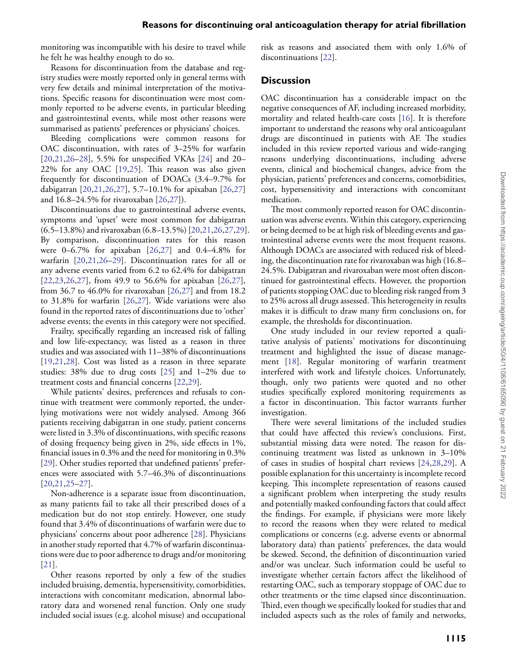monitoring was incompatible with his desire to travel while he felt he was healthy enough to do so.

Reasons for discontinuation from the database and registry studies were mostly reported only in general terms with very few details and minimal interpretation of the motivations. Specific reasons for discontinuation were most commonly reported to be adverse events, in particular bleeding and gastrointestinal events, while most other reasons were summarised as patients' preferences or physicians' choices.

Bleeding complications were common reasons for OAC discontinuation, with rates of 3–25% for warfarin [\[20,](#page-9-9)[21](#page-9-6)[,26](#page-9-11)[–28\]](#page-9-13), 5.5% for unspecified VKAs [\[24\]](#page-9-8) and 20– 22% for any OAC [\[19,](#page-9-5)[25\]](#page-9-14). This reason was also given frequently for discontinuation of DOACs (3.4–9.7% for dabigatran [\[20](#page-9-9)[,21,](#page-9-6)[26,](#page-9-11)[27\]](#page-9-12), 5.7–10.1% for apixaban [\[26,](#page-9-11)[27\]](#page-9-12) and 16.8–24.5% for rivaroxaban [\[26,](#page-9-11)[27\]](#page-9-12)).

Discontinuations due to gastrointestinal adverse events, symptoms and 'upset' were most common for dabigatran (6.5–13.8%) and rivaroxaban (6.8–13.5%) [\[20,](#page-9-9)[21](#page-9-6)[,26](#page-9-11)[,27,](#page-9-12)[29\]](#page-9-4). By comparison, discontinuation rates for this reason were 0–6.7% for apixaban [\[26](#page-9-11)[,27\]](#page-9-12) and 0.4–4.8% for warfarin [\[20,](#page-9-9)[21](#page-9-6)[,26](#page-9-11)[–29\]](#page-9-4). Discontinuation rates for all or any adverse events varied from 6.2 to 62.4% for dabigatran [\[22](#page-9-10)[,23](#page-9-7)[,26,](#page-9-11)[27\]](#page-9-12), from 49.9 to 56.6% for apixaban [\[26](#page-9-11)[,27\]](#page-9-12), from 36.7 to 46.0% for rivaroxaban [\[26,](#page-9-11)[27\]](#page-9-12) and from 18.2 to 31.8% for warfarin [\[26](#page-9-11)[,27\]](#page-9-12). Wide variations were also found in the reported rates of discontinuations due to 'other' adverse events; the events in this category were not specified.

Frailty, specifically regarding an increased risk of falling and low life-expectancy, was listed as a reason in three studies and was associated with 11–38% of discontinuations [\[19,](#page-9-5)[21](#page-9-6)[,28\]](#page-9-13). Cost was listed as a reason in three separate studies: 38% due to drug costs [\[25\]](#page-9-14) and 1–2% due to treatment costs and financial concerns [\[22,](#page-9-10)[29\]](#page-9-4).

While patients' desires, preferences and refusals to continue with treatment were commonly reported, the underlying motivations were not widely analysed. Among 366 patients receiving dabigatran in one study, patient concerns were listed in 3.3% of discontinuations, with specific reasons of dosing frequency being given in 2%, side effects in 1%, financial issues in 0.3% and the need for monitoring in 0.3% [\[29\]](#page-9-4). Other studies reported that undefined patients' preferences were associated with 5.7–46.3% of discontinuations [\[20,](#page-9-9)[21](#page-9-6)[,25](#page-9-14)[–27\]](#page-9-12).

Non-adherence is a separate issue from discontinuation, as many patients fail to take all their prescribed doses of a medication but do not stop entirely. However, one study found that 3.4% of discontinuations of warfarin were due to physicians' concerns about poor adherence [\[28\]](#page-9-13). Physicians in another study reported that 4.7% of warfarin discontinuations were due to poor adherence to drugs and/or monitoring [\[21\]](#page-9-6).

Other reasons reported by only a few of the studies included bruising, dementia, hypersensitivity, comorbidities, interactions with concomitant medication, abnormal laboratory data and worsened renal function. Only one study included social issues (e.g. alcohol misuse) and occupational risk as reasons and associated them with only 1.6% of discontinuations [\[22\]](#page-9-10).

## **Discussion**

OAC discontinuation has a considerable impact on the negative consequences of AF, including increased morbidity, mortality and related health-care costs [\[16\]](#page-9-1). It is therefore important to understand the reasons why oral anticoagulant drugs are discontinued in patients with AF. The studies included in this review reported various and wide-ranging reasons underlying discontinuations, including adverse events, clinical and biochemical changes, advice from the physician, patients' preferences and concerns, comorbidities, cost, hypersensitivity and interactions with concomitant medication.

The most commonly reported reason for OAC discontinuation was adverse events. Within this category, experiencing or being deemed to be at high risk of bleeding events and gastrointestinal adverse events were the most frequent reasons. Although DOACs are associated with reduced risk of bleeding, the discontinuation rate for rivaroxaban was high (16.8– 24.5%. Dabigatran and rivaroxaban were most often discontinued for gastrointestinal effects. However, the proportion of patients stopping OAC due to bleeding risk ranged from 3 to 25% across all drugs assessed. This heterogeneity in results makes it is difficult to draw many firm conclusions on, for example, the thresholds for discontinuation.

One study included in our review reported a qualitative analysis of patients' motivations for discontinuing treatment and highlighted the issue of disease management [\[18\]](#page-9-3). Regular monitoring of warfarin treatment interfered with work and lifestyle choices. Unfortunately, though, only two patients were quoted and no other studies specifically explored monitoring requirements as a factor in discontinuation. This factor warrants further investigation.

There were several limitations of the included studies that could have affected this review's conclusions. First, substantial missing data were noted. The reason for discontinuing treatment was listed as unknown in 3–10% of cases in studies of hospital chart reviews [\[24](#page-9-8)[,28](#page-9-13)[,29\]](#page-9-4). A possible explanation for this uncertainty is incomplete record keeping. This incomplete representation of reasons caused a significant problem when interpreting the study results and potentially masked confounding factors that could affect the findings. For example, if physicians were more likely to record the reasons when they were related to medical complications or concerns (e.g. adverse events or abnormal laboratory data) than patients' preferences, the data would be skewed. Second, the definition of discontinuation varied and/or was unclear. Such information could be useful to investigate whether certain factors affect the likelihood of restarting OAC, such as temporary stoppage of OAC due to other treatments or the time elapsed since discontinuation. Third, even though we specifically looked for studies that and included aspects such as the roles of family and networks,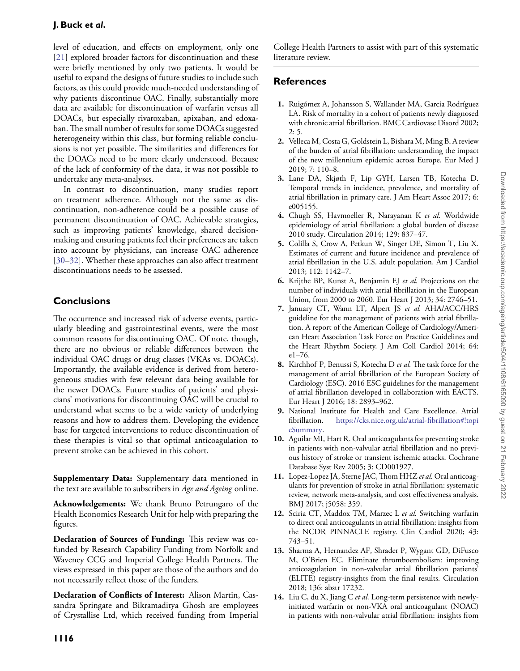level of education, and effects on employment, only one [\[21\]](#page-9-6) explored broader factors for discontinuation and these were briefly mentioned by only two patients. It would be useful to expand the designs of future studies to include such factors, as this could provide much-needed understanding of why patients discontinue OAC. Finally, substantially more data are available for discontinuation of warfarin versus all DOACs, but especially rivaroxaban, apixaban, and edoxaban. The small number of results for some DOACs suggested heterogeneity within this class, but forming reliable conclusions is not yet possible. The similarities and differences for the DOACs need to be more clearly understood. Because of the lack of conformity of the data, it was not possible to undertake any meta-analyses.

In contrast to discontinuation, many studies report on treatment adherence. Although not the same as discontinuation, non-adherence could be a possible cause of permanent discontinuation of OAC. Achievable strategies, such as improving patients' knowledge, shared decisionmaking and ensuring patients feel their preferences are taken into account by physicians, can increase OAC adherence [\[30–](#page-9-15)[32\]](#page-9-16). Whether these approaches can also affect treatment discontinuations needs to be assessed.

# **Conclusions**

The occurrence and increased risk of adverse events, particularly bleeding and gastrointestinal events, were the most common reasons for discontinuing OAC. Of note, though, there are no obvious or reliable differences between the individual OAC drugs or drug classes (VKAs vs. DOACs). Importantly, the available evidence is derived from heterogeneous studies with few relevant data being available for the newer DOACs. Future studies of patients' and physicians' motivations for discontinuing OAC will be crucial to understand what seems to be a wide variety of underlying reasons and how to address them. Developing the evidence base for targeted interventions to reduce discontinuation of these therapies is vital so that optimal anticoagulation to prevent stroke can be achieved in this cohort.

**Supplementary Data:** Supplementary data mentioned in the text are available to subscribers in *Age and Ageing* online.

**Acknowledgements:** We thank Bruno Petrungaro of the Health Economics Research Unit for help with preparing the figures.

**Declaration of Sources of Funding:** This review was cofunded by Research Capability Funding from Norfolk and Waveney CCG and Imperial College Health Partners. The views expressed in this paper are those of the authors and do not necessarily reflect those of the funders.

**Declaration of Conflicts of Interest:** Alison Martin, Cassandra Springate and Bikramaditya Ghosh are employees of Crystallise Ltd, which received funding from Imperial College Health Partners to assist with part of this systematic literature review.

# **References**

- <span id="page-8-0"></span>**1.** Ruigómez A, Johansson S, Wallander MA, García Rodríguez LA. Risk of mortality in a cohort of patients newly diagnosed with chronic atrial fibrillation. BMC Cardiovasc Disord 2002;  $2:5.$
- <span id="page-8-1"></span>**2.** Velleca M, Costa G, Goldstein L, Bishara M, Ming B. A review of the burden of atrial fibrillation: understanding the impact of the new millennium epidemic across Europe. Eur Med J 2019; 7: 110–8.
- <span id="page-8-2"></span>**3.** Lane DA, Skjøth F, Lip GYH, Larsen TB, Kotecha D. Temporal trends in incidence, prevalence, and mortality of atrial fibrillation in primary care. J Am Heart Assoc 2017; 6: e005155.
- <span id="page-8-3"></span>**4.** Chugh SS, Havmoeller R, Narayanan K *et al.* Worldwide epidemiology of atrial fibrillation: a global burden of disease 2010 study. Circulation 2014; 129: 837–47.
- <span id="page-8-4"></span>**5.** Colilla S, Crow A, Petkun W, Singer DE, Simon T, Liu X. Estimates of current and future incidence and prevalence of atrial fibrillation in the U.S. adult population. Am J Cardiol 2013; 112: 1142–7.
- <span id="page-8-5"></span>**6.** Krijthe BP, Kunst A, Benjamin EJ *et al.* Projections on the number of individuals with atrial fibrillation in the European Union, from 2000 to 2060. Eur Heart J 2013; 34: 2746–51.
- <span id="page-8-6"></span>**7.** January CT, Wann LT, Alpert JS *et al.* AHA/ACC/HRS guideline for the management of patients with atrial fibrillation. A report of the American College of Cardiology/American Heart Association Task Force on Practice Guidelines and the Heart Rhythm Society. J Am Coll Cardiol 2014; 64: e1–76.
- <span id="page-8-7"></span>**8.** Kirchhof P, Benussi S, Kotecha D *et al.* The task force for the management of atrial fibrillation of the European Society of Cardiology (ESC). 2016 ESC guidelines for the management of atrial fibrillation developed in collaboration with EACTS. Eur Heart J 2016; 18: 2893–962.
- <span id="page-8-8"></span>**9.** National Institute for Health and Care Excellence. Atrial fibrillation. [https://cks.nice.org.uk/atrial-fibrillation#!topi](https://cks.nice.org.uk/atrial-fibrillation#!topicSummary) [cSummary.](https://cks.nice.org.uk/atrial-fibrillation#!topicSummary)
- <span id="page-8-9"></span>**10.** Aguilar MI, Hart R. Oral anticoagulants for preventing stroke in patients with non-valvular atrial fibrillation and no previous history of stroke or transient ischemic attacks. Cochrane Database Syst Rev 2005; 3: CD001927.
- <span id="page-8-10"></span>**11.** Lopez-Lopez JA, Sterne JAC,Thom HHZ *et al.* Oral anticoagulants for prevention of stroke in atrial fibrillation: systematic review, network meta-analysis, and cost effectiveness analysis. BMJ 2017; j5058: 359.
- <span id="page-8-11"></span>**12.** Sciria CT, Maddox TM, Marzec L *et al.* Switching warfarin to direct oral anticoagulants in atrial fibrillation: insights from the NCDR PINNACLE registry. Clin Cardiol 2020; 43: 743–51.
- <span id="page-8-12"></span>**13.** Sharma A, Hernandez AF, Shrader P, Wygant GD, DiFusco M, O'Brien EC. Eliminate thromboembolism: improving anticoagulation in non-valvular atrial fibrillation patients' (ELITE) registry-insights from the final results. Circulation 2018; 136: abstr 17232.
- <span id="page-8-13"></span>**14.** Liu C, du X, Jiang C *et al.* Long-term persistence with newlyinitiated warfarin or non-VKA oral anticoagulant (NOAC) in patients with non-valvular atrial fibrillation: insights from